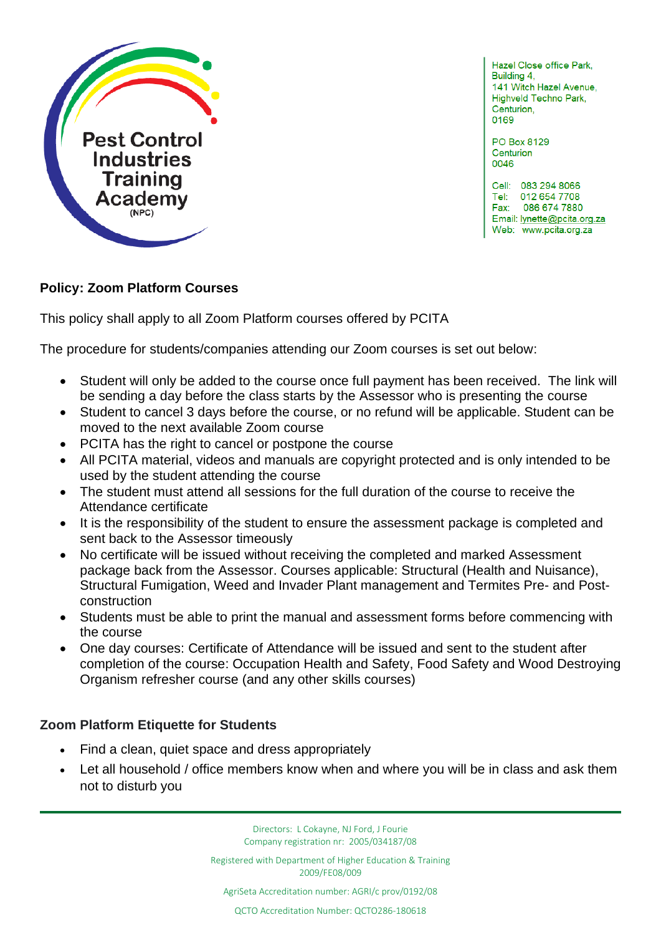

Hazel Close office Park, Building 4, 141 Witch Hazel Avenue, Highveld Techno Park, Centurion. 0169

PO Box 8129 Centurion 0046

Cell: 083 294 8066 Tel: 012 654 7708 Fax: 086 674 7880 Email: lynette@pcita.org.za Web: www.pcita.org.za

l

## **Policy: Zoom Platform Courses**

This policy shall apply to all Zoom Platform courses offered by PCITA

The procedure for students/companies attending our Zoom courses is set out below:

- Student will only be added to the course once full payment has been received. The link will be sending a day before the class starts by the Assessor who is presenting the course
- Student to cancel 3 days before the course, or no refund will be applicable. Student can be moved to the next available Zoom course
- PCITA has the right to cancel or postpone the course
- All PCITA material, videos and manuals are copyright protected and is only intended to be used by the student attending the course
- The student must attend all sessions for the full duration of the course to receive the Attendance certificate
- It is the responsibility of the student to ensure the assessment package is completed and sent back to the Assessor timeously
- No certificate will be issued without receiving the completed and marked Assessment package back from the Assessor. Courses applicable: Structural (Health and Nuisance), Structural Fumigation, Weed and Invader Plant management and Termites Pre- and Postconstruction
- Students must be able to print the manual and assessment forms before commencing with the course
- One day courses: Certificate of Attendance will be issued and sent to the student after completion of the course: Occupation Health and Safety, Food Safety and Wood Destroying Organism refresher course (and any other skills courses)

## **Zoom Platform Etiquette for Students**

- Find a clean, quiet space and dress appropriately
- Let all household / office members know when and where you will be in class and ask them not to disturb you

Directors: L Cokayne, NJ Ford, J Fourie Company registration nr: 2005/034187/08

Registered with Department of Higher Education & Training 2009/FE08/009

AgriSeta Accreditation number: AGRI/c prov/0192/08